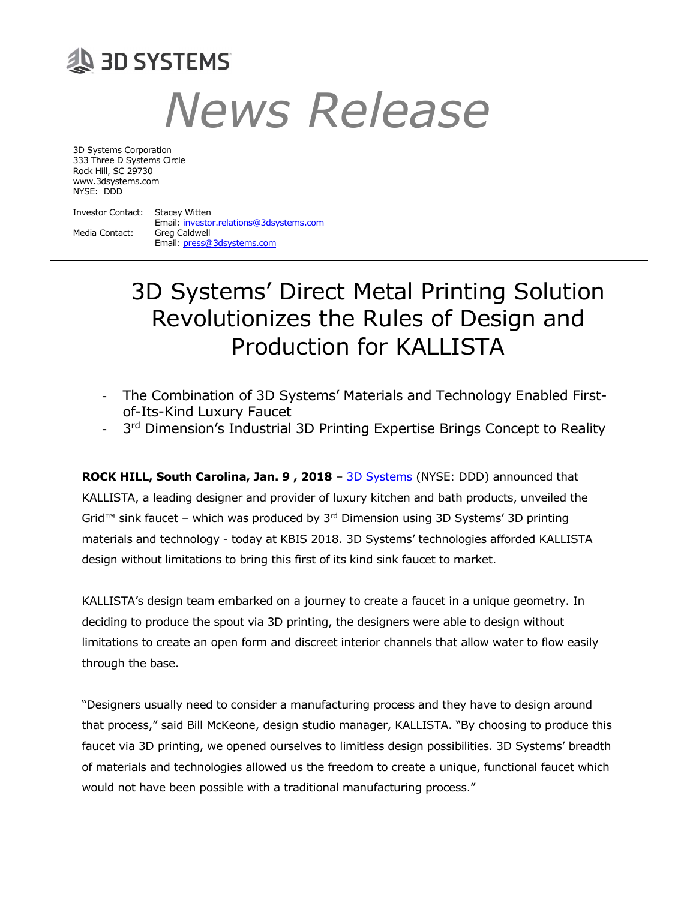# **29 BD SYSTEMS** News Release

3D Systems Corporation 333 Three D Systems Circle Rock Hill, SC 29730 www.3dsystems.com NYSE: DDD

Investor Contact: Stacey Witten Email: investor.relations@3dsystems.com Media Contact: Greg Caldwell Email: press@3dsystems.com

## 3D Systems' Direct Metal Printing Solution Revolutionizes the Rules of Design and Production for KALLISTA

- The Combination of 3D Systems' Materials and Technology Enabled Firstof-Its-Kind Luxury Faucet
- 3<sup>rd</sup> Dimension's Industrial 3D Printing Expertise Brings Concept to Reality

ROCK HILL, South Carolina, Jan. 9, 2018 - 3D Systems (NYSE: DDD) announced that KALLISTA, a leading designer and provider of luxury kitchen and bath products, unveiled the Grid<sup>™</sup> sink faucet – which was produced by  $3<sup>rd</sup>$  Dimension using 3D Systems' 3D printing materials and technology - today at KBIS 2018. 3D Systems' technologies afforded KALLISTA design without limitations to bring this first of its kind sink faucet to market.

KALLISTA's design team embarked on a journey to create a faucet in a unique geometry. In deciding to produce the spout via 3D printing, the designers were able to design without limitations to create an open form and discreet interior channels that allow water to flow easily through the base.

"Designers usually need to consider a manufacturing process and they have to design around that process," said Bill McKeone, design studio manager, KALLISTA. "By choosing to produce this faucet via 3D printing, we opened ourselves to limitless design possibilities. 3D Systems' breadth of materials and technologies allowed us the freedom to create a unique, functional faucet which would not have been possible with a traditional manufacturing process."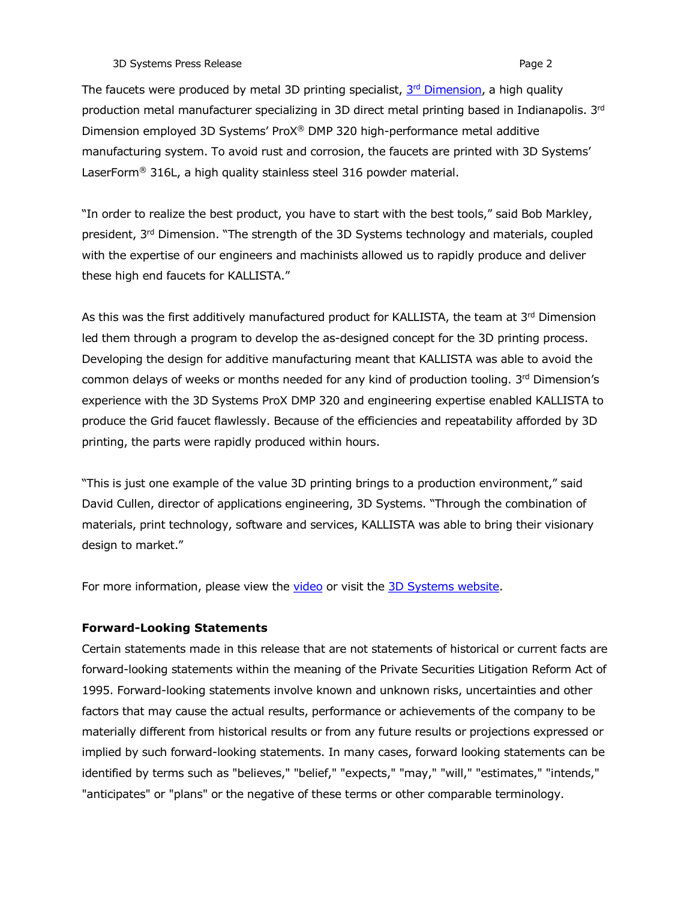3D Systems Press Release **Page 2** and the system of the system of the system of the system of the system of the system of the system of the system of the system of the system of the system of the system of the system of th

The faucets were produced by metal 3D printing specialist, 3<sup>rd</sup> Dimension, a high quality production metal manufacturer specializing in 3D direct metal printing based in Indianapolis. 3rd Dimension employed 3D Systems' ProX® DMP 320 high-performance metal additive manufacturing system. To avoid rust and corrosion, the faucets are printed with 3D Systems' LaserForm® 316L, a high quality stainless steel 316 powder material.

"In order to realize the best product, you have to start with the best tools," said Bob Markley, president, 3rd Dimension. "The strength of the 3D Systems technology and materials, coupled with the expertise of our engineers and machinists allowed us to rapidly produce and deliver these high end faucets for KALLISTA."

As this was the first additively manufactured product for KALLISTA, the team at 3rd Dimension led them through a program to develop the as-designed concept for the 3D printing process. Developing the design for additive manufacturing meant that KALLISTA was able to avoid the common delays of weeks or months needed for any kind of production tooling.  $3<sup>rd</sup>$  Dimension's experience with the 3D Systems ProX DMP 320 and engineering expertise enabled KALLISTA to produce the Grid faucet flawlessly. Because of the efficiencies and repeatability afforded by 3D printing, the parts were rapidly produced within hours.

"This is just one example of the value 3D printing brings to a production environment," said David Cullen, director of applications engineering, 3D Systems. "Through the combination of materials, print technology, software and services, KALLISTA was able to bring their visionary design to market."

For more information, please view the video or visit the 3D Systems website.

### Forward-Looking Statements

Certain statements made in this release that are not statements of historical or current facts are forward-looking statements within the meaning of the Private Securities Litigation Reform Act of 1995. Forward-looking statements involve known and unknown risks, uncertainties and other factors that may cause the actual results, performance or achievements of the company to be materially different from historical results or from any future results or projections expressed or implied by such forward-looking statements. In many cases, forward looking statements can be identified by terms such as "believes," "belief," "expects," "may," "will," "estimates," "intends," "anticipates" or "plans" or the negative of these terms or other comparable terminology.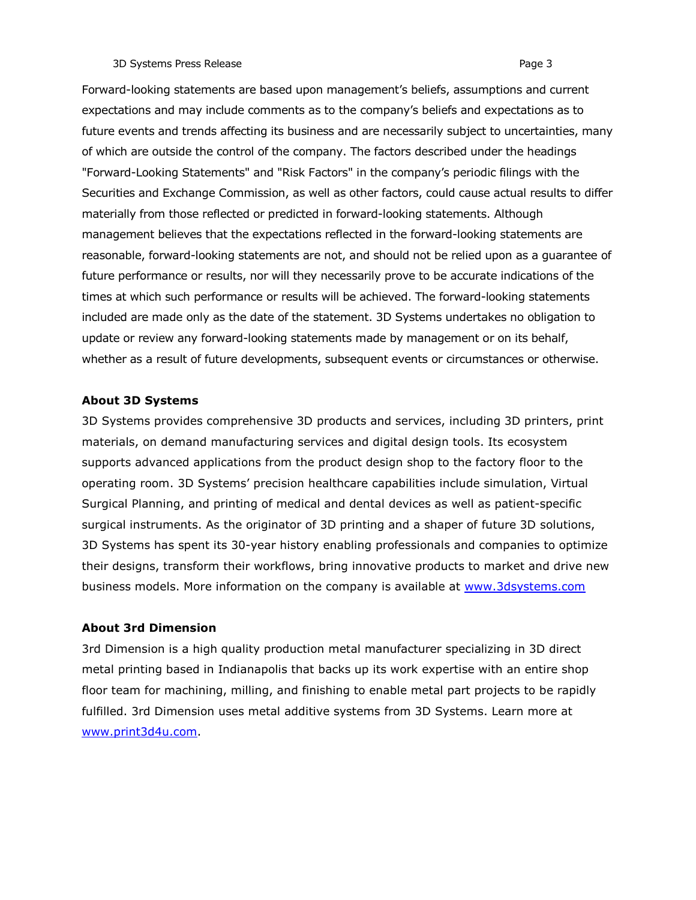### 3D Systems Press Release Page 3

Forward-looking statements are based upon management's beliefs, assumptions and current expectations and may include comments as to the company's beliefs and expectations as to future events and trends affecting its business and are necessarily subject to uncertainties, many of which are outside the control of the company. The factors described under the headings "Forward-Looking Statements" and "Risk Factors" in the company's periodic filings with the Securities and Exchange Commission, as well as other factors, could cause actual results to differ materially from those reflected or predicted in forward-looking statements. Although management believes that the expectations reflected in the forward-looking statements are reasonable, forward-looking statements are not, and should not be relied upon as a guarantee of future performance or results, nor will they necessarily prove to be accurate indications of the times at which such performance or results will be achieved. The forward-looking statements included are made only as the date of the statement. 3D Systems undertakes no obligation to update or review any forward-looking statements made by management or on its behalf, whether as a result of future developments, subsequent events or circumstances or otherwise.

### About 3D Systems

3D Systems provides comprehensive 3D products and services, including 3D printers, print materials, on demand manufacturing services and digital design tools. Its ecosystem supports advanced applications from the product design shop to the factory floor to the operating room. 3D Systems' precision healthcare capabilities include simulation, Virtual Surgical Planning, and printing of medical and dental devices as well as patient-specific surgical instruments. As the originator of 3D printing and a shaper of future 3D solutions, 3D Systems has spent its 30-year history enabling professionals and companies to optimize their designs, transform their workflows, bring innovative products to market and drive new business models. More information on the company is available at www.3dsystems.com

### About 3rd Dimension

3rd Dimension is a high quality production metal manufacturer specializing in 3D direct metal printing based in Indianapolis that backs up its work expertise with an entire shop floor team for machining, milling, and finishing to enable metal part projects to be rapidly fulfilled. 3rd Dimension uses metal additive systems from 3D Systems. Learn more at www.print3d4u.com.